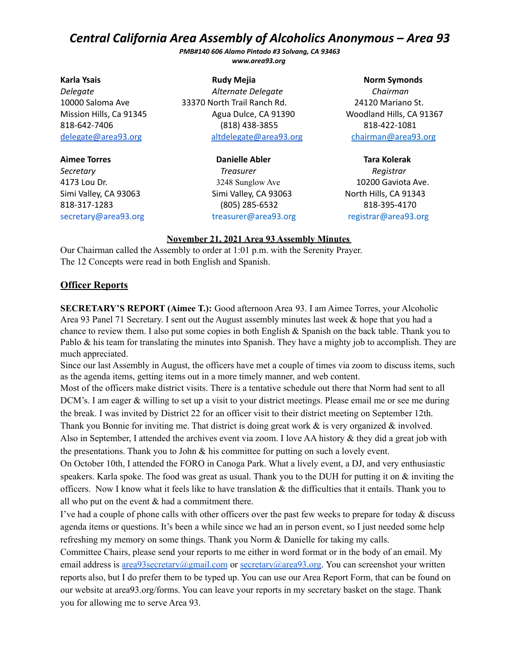*PMB#140 606 Alamo Pintado #3 Solvang, CA 93463 www.area93.org*

**Karla Ysais Rudy Mejia Norm Symonds**

**Aimee Torres Danielle Abler Tara Kolerak**

*Delegate Alternate Delegate Chairman* 10000 Saloma Ave 33370 North Trail Ranch Rd. 24120 Mariano St. Mission Hills, Ca 91345 Agua Dulce, CA 91390 Woodland Hills, CA 91367 818-642-7406 (818) 438-3855 818-422-1081 [delegate@area93.org](mailto:delegate@area93.org) [altdelegate@area93.org](mailto:altdelegate@area93.org) chairman@area93.org

*Secretary Treasurer Registrar* 4173 Lou Dr. 3248 Sunglow Ave 10200 Gaviota Ave. Simi Valley, CA 93063 Simi Valley, CA 93063 North Hills, CA 91343 818-317-1283 (805) 285-6532 818-395-4170 [secretary@area93.org](mailto:secretary@area93.org) treasurer@area93.org registrar@area93.org

#### **November 21, 2021 Area 93 Assembly Minutes**

Our Chairman called the Assembly to order at 1:01 p.m. with the Serenity Prayer. The 12 Concepts were read in both English and Spanish.

#### **Officer Reports**

**SECRETARY'S REPORT (Aimee T.):** Good afternoon Area 93. I am Aimee Torres, your Alcoholic Area 93 Panel 71 Secretary. I sent out the August assembly minutes last week & hope that you had a chance to review them. I also put some copies in both English & Spanish on the back table. Thank you to Pablo & his team for translating the minutes into Spanish. They have a mighty job to accomplish. They are much appreciated.

Since our last Assembly in August, the officers have met a couple of times via zoom to discuss items, such as the agenda items, getting items out in a more timely manner, and web content.

Most of the officers make district visits. There is a tentative schedule out there that Norm had sent to all DCM's. I am eager & willing to set up a visit to your district meetings. Please email me or see me during the break. I was invited by District 22 for an officer visit to their district meeting on September 12th. Thank you Bonnie for inviting me. That district is doing great work & is very organized & involved.

Also in September, I attended the archives event via zoom. I love AA history & they did a great job with the presentations. Thank you to John & his committee for putting on such a lovely event.

On October 10th, I attended the FORO in Canoga Park. What a lively event, a DJ, and very enthusiastic speakers. Karla spoke. The food was great as usual. Thank you to the DUH for putting it on  $\&$  inviting the officers. Now I know what it feels like to have translation  $\&$  the difficulties that it entails. Thank you to all who put on the event  $&$  had a commitment there.

I've had a couple of phone calls with other officers over the past few weeks to prepare for today  $\&$  discuss agenda items or questions. It's been a while since we had an in person event, so I just needed some help refreshing my memory on some things. Thank you Norm & Danielle for taking my calls.

Committee Chairs, please send your reports to me either in word format or in the body of an email. My email address is [area93secretary@gmail.com](mailto:are93secretary@gmail.com) or [secretary@area93.org](mailto:secretary@area93.org). You can screenshot your written reports also, but I do prefer them to be typed up. You can use our Area Report Form, that can be found on our website at area93.org/forms. You can leave your reports in my secretary basket on the stage. Thank you for allowing me to serve Area 93.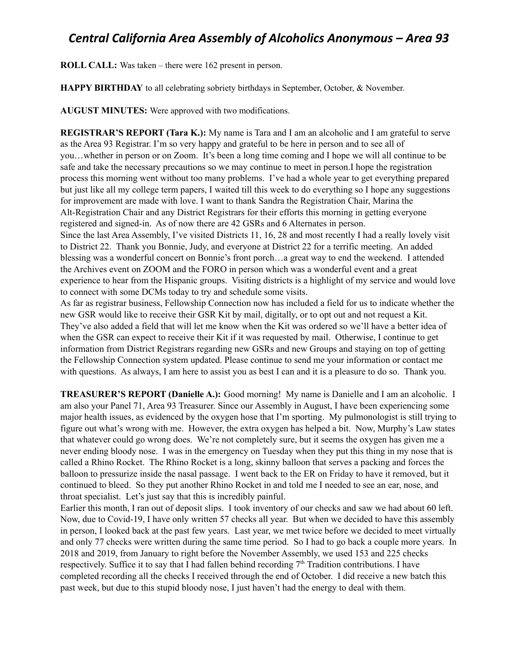**ROLL CALL:** Was taken – there were 162 present in person.

**HAPPY BIRTHDAY** to all celebrating sobriety birthdays in September, October, & November.

**AUGUST MINUTES:** Were approved with two modifications.

**REGISTRAR'S REPORT (Tara K.):** My name is Tara and I am an alcoholic and I am grateful to serve as the Area 93 Registrar. I'm so very happy and grateful to be here in person and to see all of you…whether in person or on Zoom. It's been a long time coming and I hope we will all continue to be safe and take the necessary precautions so we may continue to meet in person.I hope the registration process this morning went without too many problems. I've had a whole year to get everything prepared but just like all my college term papers, I waited till this week to do everything so I hope any suggestions for improvement are made with love. I want to thank Sandra the Registration Chair, Marina the Alt-Registration Chair and any District Registrars for their efforts this morning in getting everyone registered and signed-in. As of now there are 42 GSRs and 6 Alternates in person. Since the last Area Assembly, I've visited Districts 11, 16, 28 and most recently I had a really lovely visit to District 22. Thank you Bonnie, Judy, and everyone at District 22 for a terrific meeting. An added blessing was a wonderful concert on Bonnie's front porch…a great way to end the weekend. I attended the Archives event on ZOOM and the FORO in person which was a wonderful event and a great experience to hear from the Hispanic groups. Visiting districts is a highlight of my service and would love to connect with some DCMs today to try and schedule some visits.

As far as registrar business, Fellowship Connection now has included a field for us to indicate whether the new GSR would like to receive their GSR Kit by mail, digitally, or to opt out and not request a Kit. They've also added a field that will let me know when the Kit was ordered so we'll have a better idea of when the GSR can expect to receive their Kit if it was requested by mail. Otherwise, I continue to get information from District Registrars regarding new GSRs and new Groups and staying on top of getting the Fellowship Connection system updated. Please continue to send me your information or contact me with questions. As always, I am here to assist you as best I can and it is a pleasure to do so. Thank you.

**TREASURER'S REPORT (Danielle A.):** Good morning! My name is Danielle and I am an alcoholic. I am also your Panel 71, Area 93 Treasurer. Since our Assembly in August, I have been experiencing some major health issues, as evidenced by the oxygen hose that I'm sporting. My pulmonologist is still trying to figure out what's wrong with me. However, the extra oxygen has helped a bit. Now, Murphy's Law states that whatever could go wrong does. We're not completely sure, but it seems the oxygen has given me a never ending bloody nose. I was in the emergency on Tuesday when they put this thing in my nose that is called a Rhino Rocket. The Rhino Rocket is a long, skinny balloon that serves a packing and forces the balloon to pressurize inside the nasal passage. I went back to the ER on Friday to have it removed, but it continued to bleed. So they put another Rhino Rocket in and told me I needed to see an ear, nose, and throat specialist. Let's just say that this is incredibly painful.

Earlier this month, I ran out of deposit slips. I took inventory of our checks and saw we had about 60 left. Now, due to Covid-19, I have only written 57 checks all year. But when we decided to have this assembly in person, I looked back at the past few years. Last year, we met twice before we decided to meet virtually and only 77 checks were written during the same time period. So I had to go back a couple more years. In 2018 and 2019, from January to right before the November Assembly, we used 153 and 225 checks respectively. Suffice it to say that I had fallen behind recording  $7<sup>th</sup>$  Tradition contributions. I have completed recording all the checks I received through the end of October. I did receive a new batch this past week, but due to this stupid bloody nose, I just haven't had the energy to deal with them.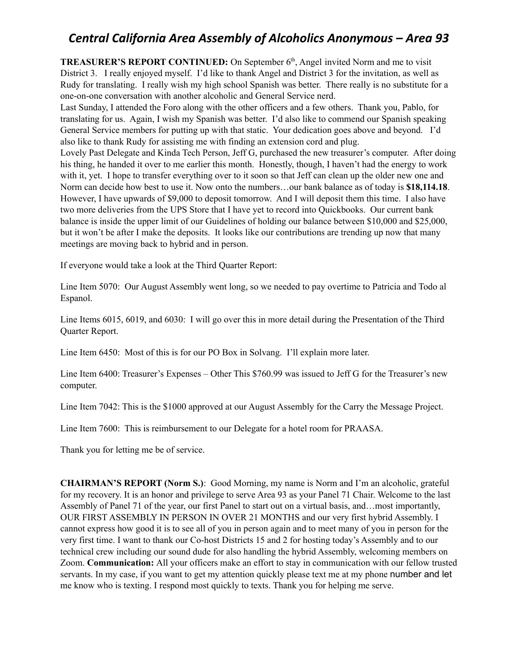**TREASURER'S REPORT CONTINUED:** On September 6<sup>th</sup>, Angel invited Norm and me to visit District 3. I really enjoyed myself. I'd like to thank Angel and District 3 for the invitation, as well as Rudy for translating. I really wish my high school Spanish was better. There really is no substitute for a one-on-one conversation with another alcoholic and General Service nerd.

Last Sunday, I attended the Foro along with the other officers and a few others. Thank you, Pablo, for translating for us. Again, I wish my Spanish was better. I'd also like to commend our Spanish speaking General Service members for putting up with that static. Your dedication goes above and beyond. I'd also like to thank Rudy for assisting me with finding an extension cord and plug.

Lovely Past Delegate and Kinda Tech Person, Jeff G, purchased the new treasurer's computer. After doing his thing, he handed it over to me earlier this month. Honestly, though, I haven't had the energy to work with it, yet. I hope to transfer everything over to it soon so that Jeff can clean up the older new one and Norm can decide how best to use it. Now onto the numbers…our bank balance as of today is **\$18,114.18**. However, I have upwards of \$9,000 to deposit tomorrow. And I will deposit them this time. I also have two more deliveries from the UPS Store that I have yet to record into Quickbooks. Our current bank balance is inside the upper limit of our Guidelines of holding our balance between \$10,000 and \$25,000, but it won't be after I make the deposits. It looks like our contributions are trending up now that many meetings are moving back to hybrid and in person.

If everyone would take a look at the Third Quarter Report:

Line Item 5070: Our August Assembly went long, so we needed to pay overtime to Patricia and Todo al Espanol.

Line Items 6015, 6019, and 6030: I will go over this in more detail during the Presentation of the Third Quarter Report.

Line Item 6450: Most of this is for our PO Box in Solvang. I'll explain more later.

Line Item 6400: Treasurer's Expenses – Other This \$760.99 was issued to Jeff G for the Treasurer's new computer.

Line Item 7042: This is the \$1000 approved at our August Assembly for the Carry the Message Project.

Line Item 7600: This is reimbursement to our Delegate for a hotel room for PRAASA.

Thank you for letting me be of service.

**CHAIRMAN'S REPORT (Norm S.)**: Good Morning, my name is Norm and I'm an alcoholic, grateful for my recovery. It is an honor and privilege to serve Area 93 as your Panel 71 Chair. Welcome to the last Assembly of Panel 71 of the year, our first Panel to start out on a virtual basis, and…most importantly, OUR FIRST ASSEMBLY IN PERSON IN OVER 21 MONTHS and our very first hybrid Assembly. I cannot express how good it is to see all of you in person again and to meet many of you in person for the very first time. I want to thank our Co-host Districts 15 and 2 for hosting today's Assembly and to our technical crew including our sound dude for also handling the hybrid Assembly, welcoming members on Zoom. **Communication:** All your officers make an effort to stay in communication with our fellow trusted servants. In my case, if you want to get my attention quickly please text me at my phone number and let me know who is texting. I respond most quickly to texts. Thank you for helping me serve.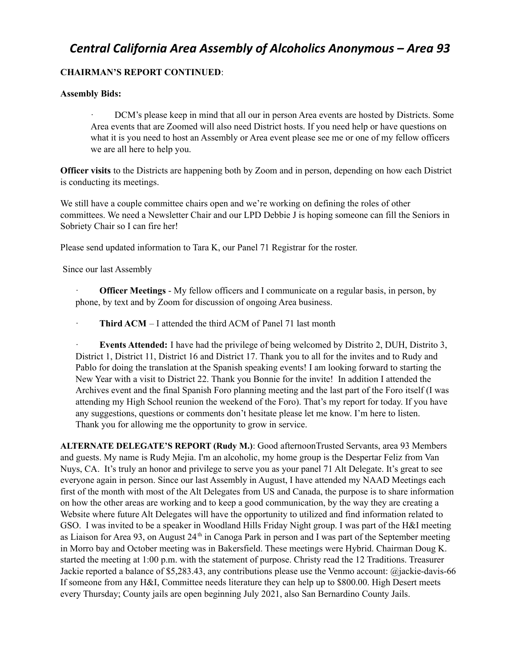#### **CHAIRMAN'S REPORT CONTINUED**:

#### **Assembly Bids:**

DCM's please keep in mind that all our in person Area events are hosted by Districts. Some Area events that are Zoomed will also need District hosts. If you need help or have questions on what it is you need to host an Assembly or Area event please see me or one of my fellow officers we are all here to help you.

**Officer visits** to the Districts are happening both by Zoom and in person, depending on how each District is conducting its meetings.

We still have a couple committee chairs open and we're working on defining the roles of other committees. We need a Newsletter Chair and our LPD Debbie J is hoping someone can fill the Seniors in Sobriety Chair so I can fire her!

Please send updated information to Tara K, our Panel 71 Registrar for the roster.

Since our last Assembly

· **Officer Meetings** - My fellow officers and I communicate on a regular basis, in person, by phone, by text and by Zoom for discussion of ongoing Area business.

· **Third ACM** – I attended the third ACM of Panel 71 last month

· **Events Attended:** I have had the privilege of being welcomed by Distrito 2, DUH, Distrito 3, District 1, District 11, District 16 and District 17. Thank you to all for the invites and to Rudy and Pablo for doing the translation at the Spanish speaking events! I am looking forward to starting the New Year with a visit to District 22. Thank you Bonnie for the invite! In addition I attended the Archives event and the final Spanish Foro planning meeting and the last part of the Foro itself (I was attending my High School reunion the weekend of the Foro). That's my report for today. If you have any suggestions, questions or comments don't hesitate please let me know. I'm here to listen. Thank you for allowing me the opportunity to grow in service.

**ALTERNATE DELEGATE'S REPORT (Rudy M.)**: Good afternoonTrusted Servants, area 93 Members and guests. My name is Rudy Mejia. I'm an alcoholic, my home group is the Despertar Feliz from Van Nuys, CA. It's truly an honor and privilege to serve you as your panel 71 Alt Delegate. It's great to see everyone again in person. Since our last Assembly in August, I have attended my NAAD Meetings each first of the month with most of the Alt Delegates from US and Canada, the purpose is to share information on how the other areas are working and to keep a good communication, by the way they are creating a Website where future Alt Delegates will have the opportunity to utilized and find information related to GSO. I was invited to be a speaker in Woodland Hills Friday Night group. I was part of the H&I meeting as Liaison for Area 93, on August 24<sup>th</sup> in Canoga Park in person and I was part of the September meeting in Morro bay and October meeting was in Bakersfield. These meetings were Hybrid. Chairman Doug K. started the meeting at 1:00 p.m. with the statement of purpose. Christy read the 12 Traditions. Treasurer Jackie reported a balance of \$5,283.43, any contributions please use the Venmo account: @jackie-davis-66 If someone from any H&I, Committee needs literature they can help up to \$800.00. High Desert meets every Thursday; County jails are open beginning July 2021, also San Bernardino County Jails.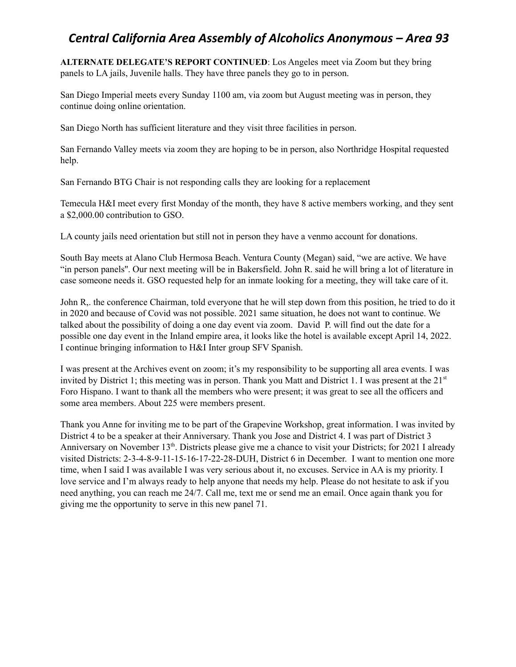**ALTERNATE DELEGATE'S REPORT CONTINUED**: Los Angeles meet via Zoom but they bring panels to LA jails, Juvenile halls. They have three panels they go to in person.

San Diego Imperial meets every Sunday 1100 am, via zoom but August meeting was in person, they continue doing online orientation.

San Diego North has sufficient literature and they visit three facilities in person.

San Fernando Valley meets via zoom they are hoping to be in person, also Northridge Hospital requested help.

San Fernando BTG Chair is not responding calls they are looking for a replacement

Temecula H&I meet every first Monday of the month, they have 8 active members working, and they sent a \$2,000.00 contribution to GSO.

LA county jails need orientation but still not in person they have a venmo account for donations.

South Bay meets at Alano Club Hermosa Beach. Ventura County (Megan) said, "we are active. We have "in person panels''. Our next meeting will be in Bakersfield. John R. said he will bring a lot of literature in case someone needs it. GSO requested help for an inmate looking for a meeting, they will take care of it.

John R,. the conference Chairman, told everyone that he will step down from this position, he tried to do it in 2020 and because of Covid was not possible. 2021 same situation, he does not want to continue. We talked about the possibility of doing a one day event via zoom. David P. will find out the date for a possible one day event in the Inland empire area, it looks like the hotel is available except April 14, 2022. I continue bringing information to H&I Inter group SFV Spanish.

I was present at the Archives event on zoom; it's my responsibility to be supporting all area events. I was invited by District 1; this meeting was in person. Thank you Matt and District 1. I was present at the 21<sup>st</sup> Foro Hispano. I want to thank all the members who were present; it was great to see all the officers and some area members. About 225 were members present.

Thank you Anne for inviting me to be part of the Grapevine Workshop, great information. I was invited by District 4 to be a speaker at their Anniversary. Thank you Jose and District 4. I was part of District 3 Anniversary on November 13<sup>th</sup>. Districts please give me a chance to visit your Districts; for 2021 I already visited Districts: 2-3-4-8-9-11-15-16-17-22-28-DUH, District 6 in December. I want to mention one more time, when I said I was available I was very serious about it, no excuses. Service in AA is my priority. I love service and I'm always ready to help anyone that needs my help. Please do not hesitate to ask if you need anything, you can reach me 24/7. Call me, text me or send me an email. Once again thank you for giving me the opportunity to serve in this new panel 71.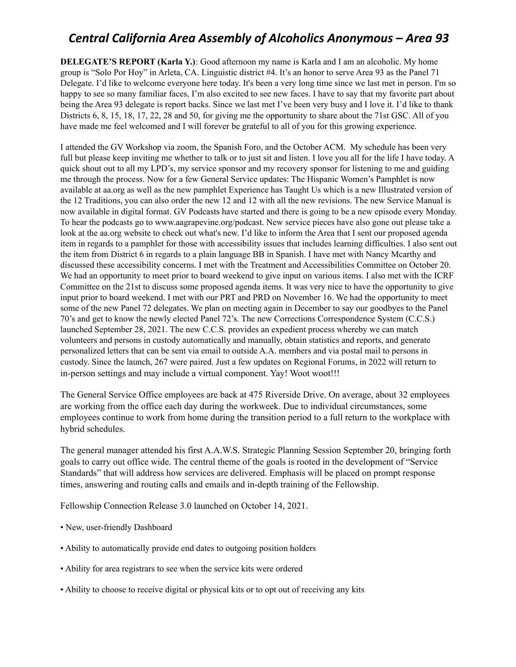**DELEGATE'S REPORT (Karla Y.)**: Good afternoon my name is Karla and I am an alcoholic. My home group is "Solo Por Hoy" in Arleta, CA. Linguistic district #4. It's an honor to serve Area 93 as the Panel 71 Delegate. I'd like to welcome everyone here today. It's been a very long time since we last met in person. I'm so happy to see so many familiar faces, I'm also excited to see new faces. I have to say that my favorite part about being the Area 93 delegate is report backs. Since we last met I've been very busy and I love it. I'd like to thank Districts 6, 8, 15, 18, 17, 22, 28 and 50, for giving me the opportunity to share about the 71st GSC. All of you have made me feel welcomed and I will forever be grateful to all of you for this growing experience.

I attended the GV Workshop via zoom, the Spanish Foro, and the October ACM. My schedule has been very full but please keep inviting me whether to talk or to just sit and listen. I love you all for the life I have today. A quick shout out to all my LPD's, my service sponsor and my recovery sponsor for listening to me and guiding me through the process. Now for a few General Service updates: The Hispanic Women's Pamphlet is now available at aa.org as well as the new pamphlet Experience has Taught Us which is a new Illustrated version of the 12 Traditions, you can also order the new 12 and 12 with all the new revisions. The new Service Manual is now available in digital format. GV Podcasts have started and there is going to be a new episode every Monday. To hear the podcasts go to www.aagrapevine.org/podcast. New service pieces have also gone out please take a look at the aa.org website to check out what's new. I'd like to inform the Area that I sent our proposed agenda item in regards to a pamphlet for those with accessibility issues that includes learning difficulties. I also sent out the item from District 6 in regards to a plain language BB in Spanish. I have met with Nancy Mcarthy and discussed these accessibility concerns. I met with the Treatment and Accessibilities Committee on October 20. We had an opportunity to meet prior to board weekend to give input on various items. I also met with the ICRF Committee on the 21st to discuss some proposed agenda items. It was very nice to have the opportunity to give input prior to board weekend. I met with our PRT and PRD on November 16. We had the opportunity to meet some of the new Panel 72 delegates. We plan on meeting again in December to say our goodbyes to the Panel 70's and get to know the newly elected Panel 72's. The new Corrections Correspondence System (C.C.S.) launched September 28, 2021. The new C.C.S. provides an expedient process whereby we can match volunteers and persons in custody automatically and manually, obtain statistics and reports, and generate personalized letters that can be sent via email to outside A.A. members and via postal mail to persons in custody. Since the launch, 267 were paired. Just a few updates on Regional Forums, in 2022 will return to in-person settings and may include a virtual component. Yay! Woot woot!!!

The General Service Office employees are back at 475 Riverside Drive. On average, about 32 employees are working from the office each day during the workweek. Due to individual circumstances, some employees continue to work from home during the transition period to a full return to the workplace with hybrid schedules.

The general manager attended his first A.A.W.S. Strategic Planning Session September 20, bringing forth goals to carry out office wide. The central theme of the goals is rooted in the development of "Service Standards" that will address how services are delivered. Emphasis will be placed on prompt response times, answering and routing calls and emails and in-depth training of the Fellowship.

Fellowship Connection Release 3.0 launched on October 14, 2021.

- New, user-friendly Dashboard
- Ability to automatically provide end dates to outgoing position holders
- Ability for area registrars to see when the service kits were ordered
- Ability to choose to receive digital or physical kits or to opt out of receiving any kits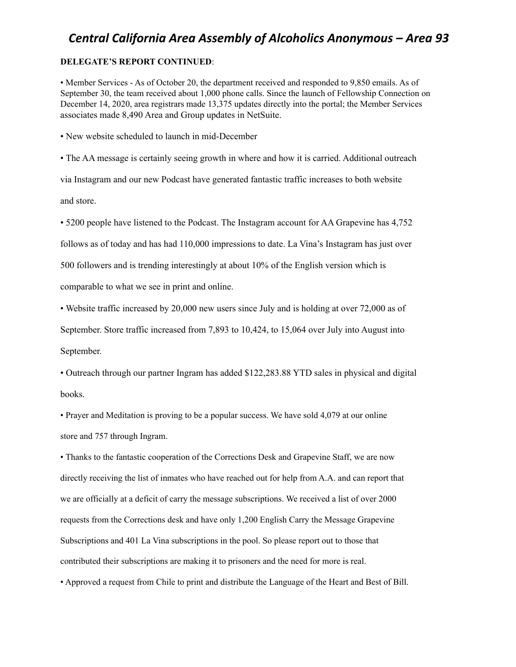#### **DELEGATE'S REPORT CONTINUED**:

• Member Services - As of October 20, the department received and responded to 9,850 emails. As of September 30, the team received about 1,000 phone calls. Since the launch of Fellowship Connection on December 14, 2020, area registrars made 13,375 updates directly into the portal; the Member Services associates made 8,490 Area and Group updates in NetSuite.

• New website scheduled to launch in mid-December

• The AA message is certainly seeing growth in where and how it is carried. Additional outreach via Instagram and our new Podcast have generated fantastic traffic increases to both website and store.

• 5200 people have listened to the Podcast. The Instagram account for AA Grapevine has 4,752

follows as of today and has had 110,000 impressions to date. La Vina's Instagram has just over

500 followers and is trending interestingly at about 10% of the English version which is

comparable to what we see in print and online.

• Website traffic increased by 20,000 new users since July and is holding at over 72,000 as of

September. Store traffic increased from 7,893 to 10,424, to 15,064 over July into August into September.

• Outreach through our partner Ingram has added \$122,283.88 YTD sales in physical and digital books.

• Prayer and Meditation is proving to be a popular success. We have sold 4,079 at our online store and 757 through Ingram.

• Thanks to the fantastic cooperation of the Corrections Desk and Grapevine Staff, we are now directly receiving the list of inmates who have reached out for help from A.A. and can report that we are officially at a deficit of carry the message subscriptions. We received a list of over 2000 requests from the Corrections desk and have only 1,200 English Carry the Message Grapevine Subscriptions and 401 La Vina subscriptions in the pool. So please report out to those that contributed their subscriptions are making it to prisoners and the need for more is real.

• Approved a request from Chile to print and distribute the Language of the Heart and Best of Bill.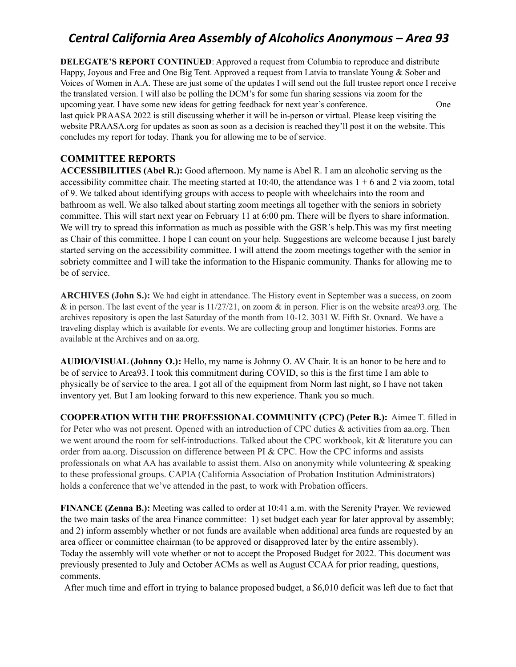**DELEGATE'S REPORT CONTINUED:** Approved a request from Columbia to reproduce and distribute Happy, Joyous and Free and One Big Tent. Approved a request from Latvia to translate Young & Sober and Voices of Women in A.A. These are just some of the updates I will send out the full trustee report once I receive the translated version. I will also be polling the DCM's for some fun sharing sessions via zoom for the upcoming year. I have some new ideas for getting feedback for next year's conference. One last quick PRAASA 2022 is still discussing whether it will be in-person or virtual. Please keep visiting the website PRAASA.org for updates as soon as soon as a decision is reached they'll post it on the website. This concludes my report for today. Thank you for allowing me to be of service.

### **COMMITTEE REPORTS**

**ACCESSIBILITIES (Abel R.):** Good afternoon. My name is Abel R. I am an alcoholic serving as the accessibility committee chair. The meeting started at  $10:40$ , the attendance was  $1 + 6$  and 2 via zoom, total of 9. We talked about identifying groups with access to people with wheelchairs into the room and bathroom as well. We also talked about starting zoom meetings all together with the seniors in sobriety committee. This will start next year on February 11 at 6:00 pm. There will be flyers to share information. We will try to spread this information as much as possible with the GSR's help. This was my first meeting as Chair of this committee. I hope I can count on your help. Suggestions are welcome because I just barely started serving on the accessibility committee. I will attend the zoom meetings together with the senior in sobriety committee and I will take the information to the Hispanic community. Thanks for allowing me to be of service.

**ARCHIVES (John S.):** We had eight in attendance. The History event in September was a success, on zoom & in person. The last event of the year is  $11/27/21$ , on zoom & in person. Flier is on the website area 93.org. The archives repository is open the last Saturday of the month from 10-12. 3031 W. Fifth St. Oxnard. We have a traveling display which is available for events. We are collecting group and longtimer histories. Forms are available at the Archives and on aa.org.

**AUDIO/VISUAL (Johnny O.):** Hello, my name is Johnny O. AV Chair. It is an honor to be here and to be of service to Area93. I took this commitment during COVID, so this is the first time I am able to physically be of service to the area. I got all of the equipment from Norm last night, so I have not taken inventory yet. But I am looking forward to this new experience. Thank you so much.

**COOPERATION WITH THE PROFESSIONAL COMMUNITY (CPC) (Peter B.):** Aimee T. filled in for Peter who was not present. Opened with an introduction of CPC duties & activities from aa.org. Then we went around the room for self-introductions. Talked about the CPC workbook, kit & literature you can order from aa.org. Discussion on difference between PI & CPC. How the CPC informs and assists professionals on what AA has available to assist them. Also on anonymity while volunteering & speaking to these professional groups. CAPIA (California Association of Probation Institution [Administrators\)](https://www.cpoc.org/capia) holds a conference that we've attended in the past, to work with Probation officers.

**FINANCE (Zenna B.):** Meeting was called to order at 10:41 a.m. with the Serenity Prayer. We reviewed the two main tasks of the area Finance committee: 1) set budget each year for later approval by assembly; and 2) inform assembly whether or not funds are available when additional area funds are requested by an area officer or committee chairman (to be approved or disapproved later by the entire assembly). Today the assembly will vote whether or not to accept the Proposed Budget for 2022. This document was previously presented to July and October ACMs as well as August CCAA for prior reading, questions, comments.

After much time and effort in trying to balance proposed budget, a \$6,010 deficit was left due to fact that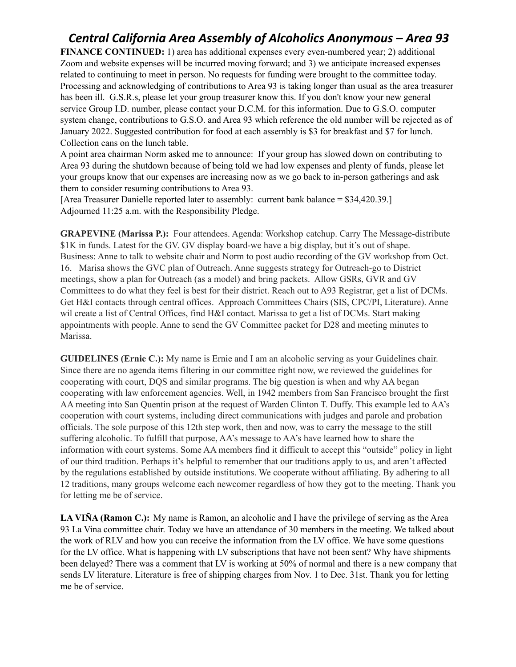**FINANCE CONTINUED:** 1) area has additional expenses every even-numbered year; 2) additional Zoom and website expenses will be incurred moving forward; and 3) we anticipate increased expenses related to continuing to meet in person. No requests for funding were brought to the committee today. Processing and acknowledging of contributions to Area 93 is taking longer than usual as the area treasurer has been ill. G.S.R.s, please let your group treasurer know this. If you don't know your new general service Group I.D. number, please contact your D.C.M. for this information. Due to G.S.O. computer system change, contributions to G.S.O. and Area 93 which reference the old number will be rejected as of January 2022. Suggested contribution for food at each assembly is \$3 for breakfast and \$7 for lunch. Collection cans on the lunch table.

A point area chairman Norm asked me to announce: If your group has slowed down on contributing to Area 93 during the shutdown because of being told we had low expenses and plenty of funds, please let your groups know that our expenses are increasing now as we go back to in-person gatherings and ask them to consider resuming contributions to Area 93.

[Area Treasurer Danielle reported later to assembly: current bank balance = \$34,420.39.] Adjourned 11:25 a.m. with the Responsibility Pledge.

**GRAPEVINE (Marissa P.):** Four attendees. Agenda: Workshop catchup. Carry The Message-distribute \$1K in funds. Latest for the GV. GV display board-we have a big display, but it's out of shape. Business: Anne to talk to website chair and Norm to post audio recording of the GV workshop from Oct. 16. Marisa shows the GVC plan of Outreach. Anne suggests strategy for Outreach-go to District meetings, show a plan for Outreach (as a model) and bring packets. Allow GSRs, GVR and GV Committees to do what they feel is best for their district. Reach out to A93 Registrar, get a list of DCMs. Get H&I contacts through central offices. Approach Committees Chairs (SIS, CPC/PI, Literature). Anne wil create a list of Central Offices, find H&I contact. Marissa to get a list of DCMs. Start making appointments with people. Anne to send the GV Committee packet for D28 and meeting minutes to Marissa.

**GUIDELINES (Ernie C.):** My name is Ernie and I am an alcoholic serving as your Guidelines chair. Since there are no agenda items filtering in our committee right now, we reviewed the guidelines for cooperating with court, DQS and similar programs. The big question is when and why AA began cooperating with law enforcement agencies. Well, in 1942 members from San Francisco brought the first AA meeting into San Quentin prison at the request of Warden Clinton T. Duffy. This example led to AA's cooperation with court systems, including direct communications with judges and parole and probation officials. The sole purpose of this 12th step work, then and now, was to carry the message to the still suffering alcoholic. To fulfill that purpose, AA's message to AA's have learned how to share the information with court systems. Some AA members find it difficult to accept this "outside" policy in light of our third tradition. Perhaps it's helpful to remember that our traditions apply to us, and aren't affected by the regulations established by outside institutions. We cooperate without affiliating. By adhering to all 12 traditions, many groups welcome each newcomer regardless of how they got to the meeting. Thank you for letting me be of service.

**LA VIÑA (Ramon C.):** My name is Ramon, an alcoholic and I have the privilege of serving as the Area 93 La Vina committee chair. Today we have an attendance of 30 members in the meeting. We talked about the work of RLV and how you can receive the information from the LV office. We have some questions for the LV office. What is happening with LV subscriptions that have not been sent? Why have shipments been delayed? There was a comment that LV is working at 50% of normal and there is a new company that sends LV literature. Literature is free of shipping charges from Nov. 1 to Dec. 31st. Thank you for letting me be of service.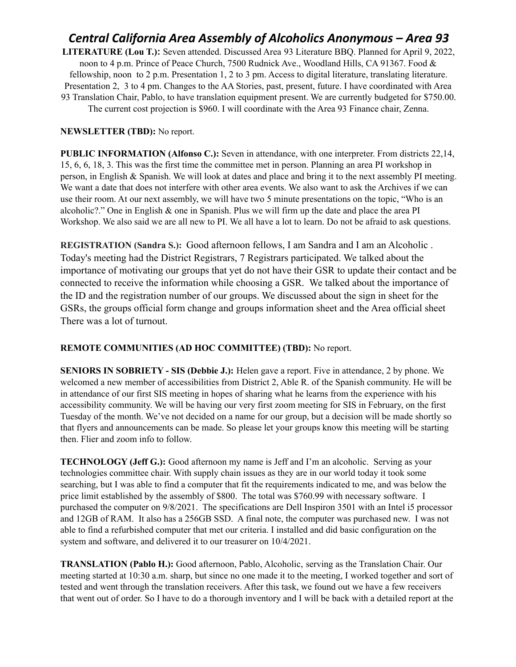**LITERATURE (Lou T.):** Seven attended. Discussed Area 93 Literature BBQ. Planned for April 9, 2022, noon to 4 p.m. Prince of Peace Church, 7500 Rudnick Ave., Woodland Hills, CA 91367. Food & fellowship, noon to 2 p.m. Presentation 1, 2 to 3 pm. Access to digital literature, translating literature. Presentation 2, 3 to 4 pm. Changes to the AA Stories, past, present, future. I have coordinated with Area 93 Translation Chair, Pablo, to have translation equipment present. We are currently budgeted for \$750.00. The current cost projection is \$960. I will coordinate with the Area 93 Finance chair, Zenna.

#### **NEWSLETTER (TBD):** No report.

**PUBLIC INFORMATION (Alfonso C.):** Seven in attendance, with one interpreter. From districts 22,14, 15, 6, 6, 18, 3. This was the first time the committee met in person. Planning an area PI workshop in person, in English & Spanish. We will look at dates and place and bring it to the next assembly PI meeting. We want a date that does not interfere with other area events. We also want to ask the Archives if we can use their room. At our next assembly, we will have two 5 minute presentations on the topic, "Who is an alcoholic?." One in English & one in Spanish. Plus we will firm up the date and place the area PI Workshop. We also said we are all new to PI. We all have a lot to learn. Do not be afraid to ask questions.

**REGISTRATION (Sandra S.):** Good afternoon fellows, I am Sandra and I am an Alcoholic . Today's meeting had the District Registrars, 7 Registrars participated. We talked about the importance of motivating our groups that yet do not have their GSR to update their contact and be connected to receive the information while choosing a GSR. We talked about the importance of the ID and the registration number of our groups. We discussed about the sign in sheet for the GSRs, the groups official form change and groups information sheet and the Area official sheet There was a lot of turnout.

#### **REMOTE COMMUNITIES (AD HOC COMMITTEE) (TBD):** No report.

**SENIORS IN SOBRIETY - SIS (Debbie J.):** Helen gave a report. Five in attendance, 2 by phone. We welcomed a new member of accessibilities from District 2, Able R. of the Spanish community. He will be in attendance of our first SIS meeting in hopes of sharing what he learns from the experience with his accessibility community. We will be having our very first zoom meeting for SIS in February, on the first Tuesday of the month. We've not decided on a name for our group, but a decision will be made shortly so that flyers and announcements can be made. So please let your groups know this meeting will be starting then. Flier and zoom info to follow.

**TECHNOLOGY (Jeff G.):** Good afternoon my name is Jeff and I'm an alcoholic. Serving as your technologies committee chair. With supply chain issues as they are in our world today it took some searching, but I was able to find a computer that fit the requirements indicated to me, and was below the price limit established by the assembly of \$800. The total was \$760.99 with necessary software. I purchased the computer on 9/8/2021. The specifications are Dell Inspiron 3501 with an Intel i5 processor and 12GB of RAM. It also has a 256GB SSD. A final note, the computer was purchased new. I was not able to find a refurbished computer that met our criteria. I installed and did basic configuration on the system and software, and delivered it to our treasurer on 10/4/2021.

**TRANSLATION (Pablo H.):** Good afternoon, Pablo, Alcoholic, serving as the Translation Chair. Our meeting started at 10:30 a.m. sharp, but since no one made it to the meeting, I worked together and sort of tested and went through the translation receivers. After this task, we found out we have a few receivers that went out of order. So I have to do a thorough inventory and I will be back with a detailed report at the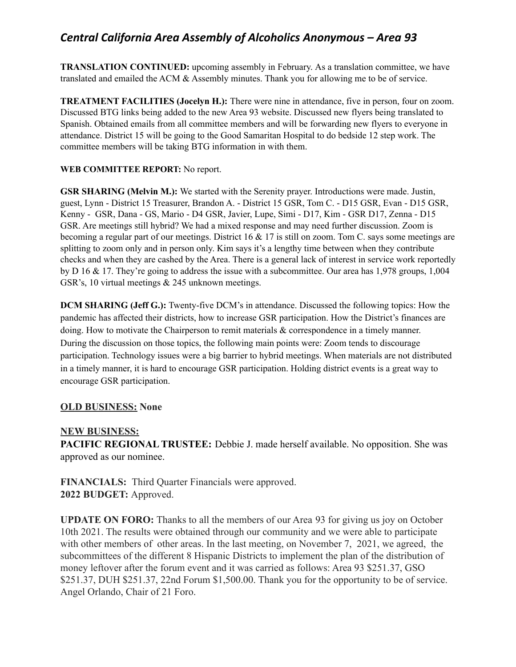**TRANSLATION CONTINUED:** upcoming assembly in February. As a translation committee, we have translated and emailed the ACM & Assembly minutes. Thank you for allowing me to be of service.

**TREATMENT FACILITIES (Jocelyn H.):** There were nine in attendance, five in person, four on zoom. Discussed BTG links being added to the new Area 93 website. Discussed new flyers being translated to Spanish. Obtained emails from all committee members and will be forwarding new flyers to everyone in attendance. District 15 will be going to the Good Samaritan Hospital to do bedside 12 step work. The committee members will be taking BTG information in with them.

### **WEB COMMITTEE REPORT:** No report.

**GSR SHARING (Melvin M.):** We started with the Serenity prayer. Introductions were made. Justin, guest, Lynn - District 15 Treasurer, Brandon A. - District 15 GSR, Tom C. - D15 GSR, Evan - D15 GSR, Kenny - GSR, Dana - GS, Mario - D4 GSR, Javier, Lupe, Simi - D17, Kim - GSR D17, Zenna - D15 GSR. Are meetings still hybrid? We had a mixed response and may need further discussion. Zoom is becoming a regular part of our meetings. District 16  $\&$  17 is still on zoom. Tom C, says some meetings are splitting to zoom only and in person only. Kim says it's a lengthy time between when they contribute checks and when they are cashed by the Area. There is a general lack of interest in service work reportedly by D 16 & 17. They're going to address the issue with a subcommittee. Our area has 1,978 groups, 1,004 GSR's, 10 virtual meetings & 245 unknown meetings.

**DCM SHARING (Jeff G.):** Twenty-five DCM's in attendance. Discussed the following topics: How the pandemic has affected their districts, how to increase GSR participation. How the District's finances are doing. How to motivate the Chairperson to remit materials & correspondence in a timely manner. During the discussion on those topics, the following main points were: Zoom tends to discourage participation. Technology issues were a big barrier to hybrid meetings. When materials are not distributed in a timely manner, it is hard to encourage GSR participation. Holding district events is a great way to encourage GSR participation.

### **OLD BUSINESS: None**

### **NEW BUSINESS:**

**PACIFIC REGIONAL TRUSTEE:** Debbie J. made herself available. No opposition. She was approved as our nominee.

**FINANCIALS:** Third Quarter Financials were approved. **2022 BUDGET:** Approved.

**UPDATE ON FORO:** Thanks to all the members of our Area 93 for giving us joy on October 10th 2021. The results were obtained through our community and we were able to participate with other members of other areas. In the last meeting, on November 7, 2021, we agreed, the subcommittees of the different 8 Hispanic Districts to implement the plan of the distribution of money leftover after the forum event and it was carried as follows: Area 93 \$251.37, GSO \$251.37, DUH \$251.37, 22nd Forum \$1,500.00. Thank you for the opportunity to be of service. Angel Orlando, Chair of 21 Foro.